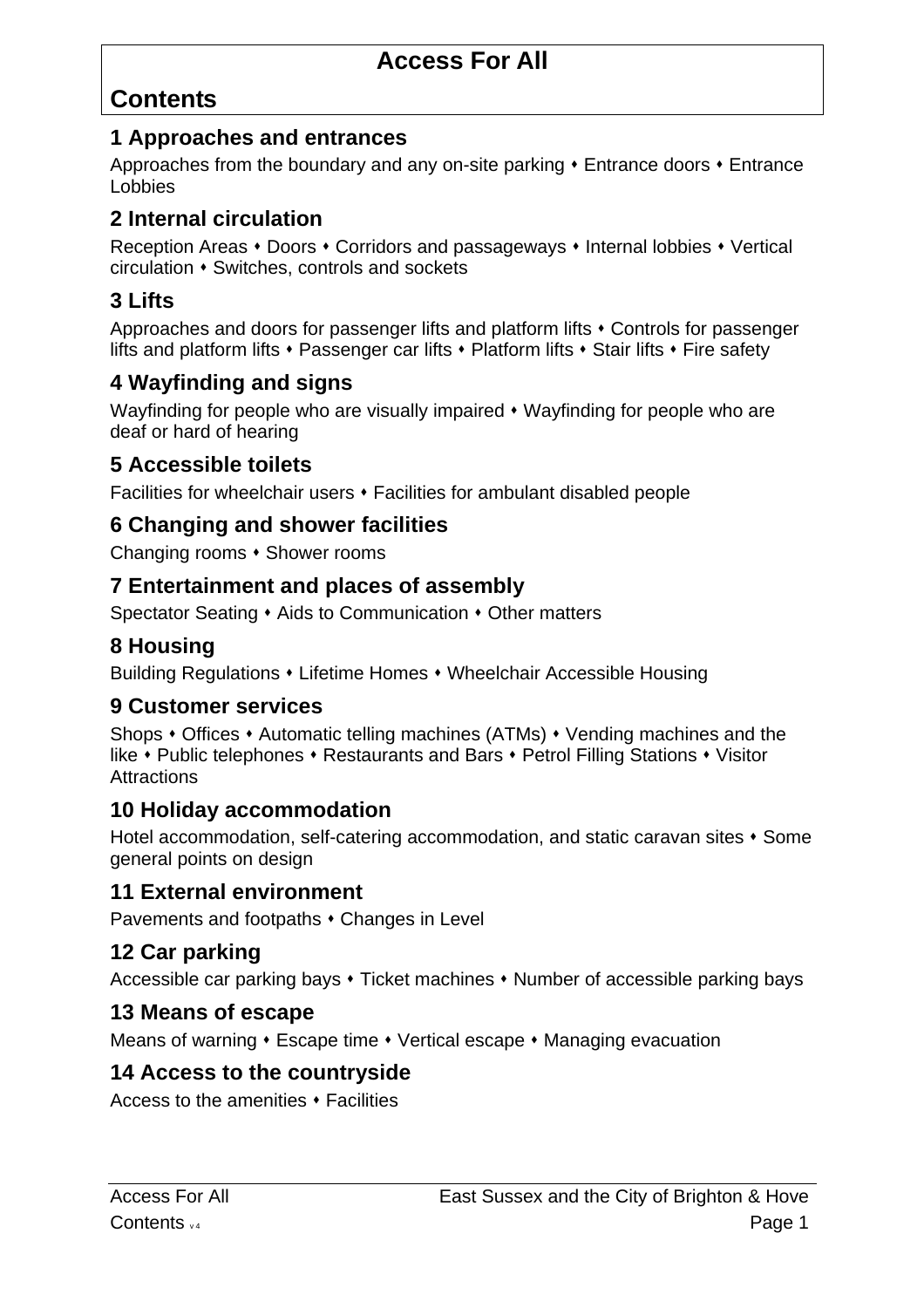# **Contents**

#### **1 Approaches and entrances**

Approaches from the boundary and any on-site parking  $\cdot$  Entrance doors  $\cdot$  Entrance Lobbies

### **2 Internal circulation**

Reception Areas • Doors • Corridors and passageways • Internal lobbies • Vertical circulation • Switches, controls and sockets

# **3 Lifts**

Approaches and doors for passenger lifts and platform lifts  $\cdot$  Controls for passenger lifts and platform lifts  $\cdot$  Passenger car lifts  $\cdot$  Platform lifts  $\cdot$  Stair lifts  $\cdot$  Fire safety

## **4 Wayfinding and signs**

Wayfinding for people who are visually impaired  $\bullet$  Wayfinding for people who are deaf or hard of hearing

#### **5 Accessible toilets**

Facilities for wheelchair users  $\cdot$  Facilities for ambulant disabled people

## **6 Changing and shower facilities**

Changing rooms  $\cdot$  Shower rooms

#### **7 Entertainment and places of assembly**

Spectator Seating  $\cdot$  Aids to Communication  $\cdot$  Other matters

# **8 Housing**

Building Regulations • Lifetime Homes • Wheelchair Accessible Housing

#### **9 Customer services**

Shops  $\cdot$  Offices  $\cdot$  Automatic telling machines (ATMs)  $\cdot$  Vending machines and the like • Public telephones • Restaurants and Bars • Petrol Filling Stations • Visitor **Attractions** 

### **10 Holiday accommodation**

Hotel accommodation, self-catering accommodation, and static caravan sites  $\cdot$  Some general points on design

#### **11 External environment**

Pavements and footpaths  $\cdot$  Changes in Level

### **12 Car parking**

Accessible car parking bays  $\cdot$  Ticket machines  $\cdot$  Number of accessible parking bays

#### **13 Means of escape**

Means of warning  $\cdot$  Escape time  $\cdot$  Vertical escape  $\cdot$  Managing evacuation

### **14 Access to the countryside**

Access to the amenities  $\cdot$  Facilities